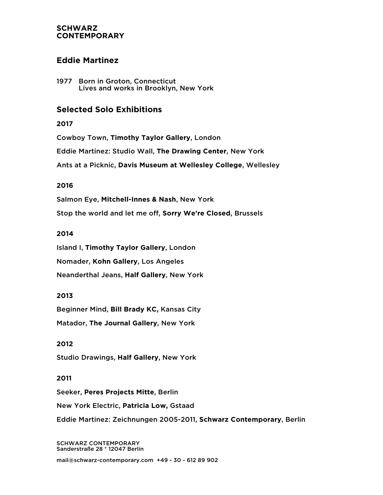## **SCHWARZ CONTEMPORARY**

# **Eddie Martinez**

1977 Born in Groton, Connecticut Lives and works in Brooklyn, New York

# **Selected Solo Exhibitions**

**2017**

Cowboy Town, **Timothy Taylor Gallery**, London

Eddie Martinez: Studio Wall, **The Drawing Center**, New York

Ants at a Picknic, **Davis Museum at Wellesley College**, Wellesley

# **2016**

Salmon Eye, **Mitchell-Innes & Nash**, New York

Stop the world and let me off, **Sorry We're Closed**, Brussels

## **2014**

Island I, **Timothy Taylor Gallery**, London

Nomader, **Kohn Gallery**, Los Angeles

Neanderthal Jeans, **Half Gallery**, New York

# **2013**

Beginner Mind, **Bill Brady KC,** Kansas City

Matador, **The Journal Gallery**, New York

## **2012**

Studio Drawings, **Half Gallery**, New York

## **2011**

Seeker, **Peres Projects Mitte**, Berlin

New York Electric, **Patricia Low,** Gstaad

Eddie Martinez: Zeichnungen 2005-2011, **Schwarz Contemporary**, Berlin

SCHWARZ CONTEMPORARY Sanderstraße 28 \* 12047 Berlin

mail@schwarz-contemporary.com +49 - 30 - 612 89 902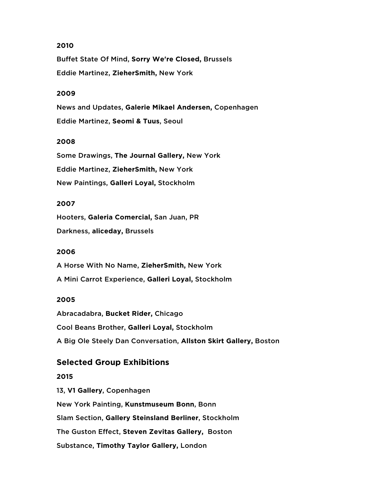## **2010**

Buffet State Of Mind, **Sorry We're Closed,** Brussels Eddie Martinez, **ZieherSmith,** New York

#### **2009**

News and Updates, **Galerie Mikael Andersen,** Copenhagen Eddie Martinez, **Seomi & Tuus**, Seoul

#### **2008**

Some Drawings, **The Journal Gallery,** New York Eddie Martinez, **ZieherSmith,** New York New Paintings, **Galleri Loyal,** Stockholm

## **2007**

Hooters, **Galeria Comercial,** San Juan, PR

Darkness, **aliceday,** Brussels

## **2006**

A Horse With No Name, **ZieherSmith,** New York A Mini Carrot Experience, **Galleri Loyal,** Stockholm

#### **2005**

Abracadabra, **Bucket Rider,** Chicago Cool Beans Brother, **Galleri Loyal,** Stockholm A Big Ole Steely Dan Conversation, **Allston Skirt Gallery,** Boston

# **Selected Group Exhibitions**

## **2015**

13, **V1 Gallery**, Copenhagen New York Painting, **Kunstmuseum Bonn**, Bonn Slam Section, **Gallery Steinsland Berliner**, Stockholm The Guston Effect, **Steven Zevitas Gallery,** Boston Substance, **Timothy Taylor Gallery,** London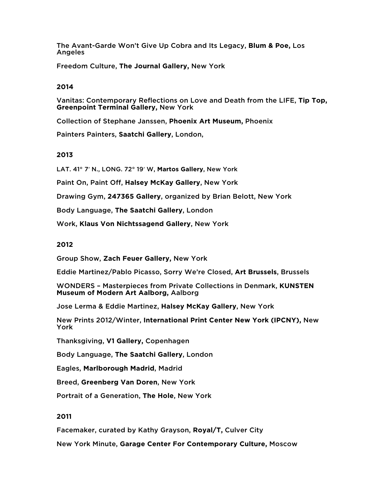The Avant-Garde Won't Give Up Cobra and Its Legacy, **Blum & Poe,** Los Angeles

Freedom Culture, **The Journal Gallery,** New York

#### **2014**

Vanitas: Contemporary Reflections on Love and Death from the LIFE, **Tip Top, Greenpoint Terminal Gallery,** New York

Collection of Stephane Janssen, **Phoenix Art Museum,** Phoenix

Painters Painters, **Saatchi Gallery**, London,

#### **2013**

LAT. 41° 7′ N., LONG. 72° 19′ W, **Martos Gallery**, New York

Paint On, Paint Off, **Halsey McKay Gallery**, New York

Drawing Gym, **247365 Gallery**, organized by Brian Belott, New York

Body Language, **The Saatchi Gallery**, London

Work, **Klaus Von Nichtssagend Gallery**, New York

#### **2012**

Group Show, **Zach Feuer Gallery,** New York

Eddie Martinez/Pablo Picasso, Sorry We're Closed, **Art Brussels**, Brussels

WONDERS – Masterpieces from Private Collections in Denmark, **KUNSTEN Museum of Modern Art Aalborg,** Aalborg

Jose Lerma & Eddie Martinez, **Halsey McKay Gallery**, New York

New Prints 2012/Winter, **International Print Center New York (IPCNY),** New York

Thanksgiving, **V1 Gallery,** Copenhagen

Body Language, **The Saatchi Gallery**, London

Eagles, **Marlborough Madrid**, Madrid

Breed, **Greenberg Van Doren**, New York

Portrait of a Generation, **The Hole**, New York

#### **2011**

Facemaker, curated by Kathy Grayson, **Royal/T,** Culver City

New York Minute, **Garage Center For Contemporary Culture,** Moscow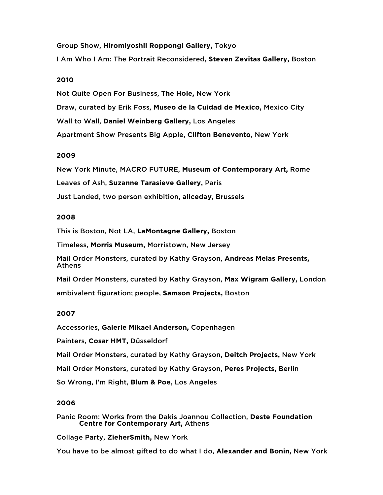Group Show, **Hiromiyoshii Roppongi Gallery,** Tokyo I Am Who I Am: The Portrait Reconsidered**, Steven Zevitas Gallery,** Boston

## **2010**

Not Quite Open For Business, **The Hole,** New York Draw, curated by Erik Foss, **Museo de la Cuidad de Mexico,** Mexico City Wall to Wall, **Daniel Weinberg Gallery,** Los Angeles Apartment Show Presents Big Apple, **Clifton Benevento,** New York

#### **2009**

New York Minute, MACRO FUTURE, **Museum of Contemporary Art,** Rome Leaves of Ash, **Suzanne Tarasieve Gallery,** Paris Just Landed, two person exhibition, **aliceday,** Brussels

#### **2008**

This is Boston, Not LA, **LaMontagne Gallery,** Boston

Timeless, **Morris Museum,** Morristown, New Jersey

Mail Order Monsters, curated by Kathy Grayson, **Andreas Melas Presents,** Athens

Mail Order Monsters, curated by Kathy Grayson, **Max Wigram Gallery,** London

ambivalent figuration; people, **Samson Projects,** Boston

## **2007**

Accessories, **Galerie Mikael Anderson,** Copenhagen

Painters, **Cosar HMT,** Düsseldorf

Mail Order Monsters, curated by Kathy Grayson, **Deitch Projects,** New York

Mail Order Monsters, curated by Kathy Grayson, **Peres Projects,** Berlin

So Wrong, I'm Right, **Blum & Poe,** Los Angeles

## **2006**

Panic Room: Works from the Dakis Joannou Collection, **Deste Foundation Centre for Contemporary Art,** Athens

Collage Party, **ZieherSmith,** New York

You have to be almost gifted to do what I do, **Alexander and Bonin,** New York